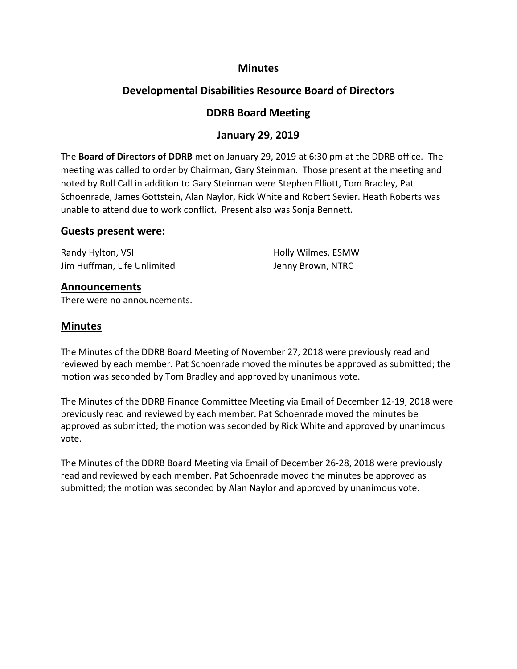## **Minutes**

# **Developmental Disabilities Resource Board of Directors**

# **DDRB Board Meeting**

# **January 29, 2019**

The **Board of Directors of DDRB** met on January 29, 2019 at 6:30 pm at the DDRB office. The meeting was called to order by Chairman, Gary Steinman. Those present at the meeting and noted by Roll Call in addition to Gary Steinman were Stephen Elliott, Tom Bradley, Pat Schoenrade, James Gottstein, Alan Naylor, Rick White and Robert Sevier. Heath Roberts was unable to attend due to work conflict. Present also was Sonja Bennett.

### **Guests present were:**

Randy Hylton, VSI **Randy Hylton, VSI Holly Wilmes, ESMW** Jim Huffman, Life Unlimited Jenny Brown, NTRC

## **Announcements**

There were no announcements.

## **Minutes**

The Minutes of the DDRB Board Meeting of November 27, 2018 were previously read and reviewed by each member. Pat Schoenrade moved the minutes be approved as submitted; the motion was seconded by Tom Bradley and approved by unanimous vote.

The Minutes of the DDRB Finance Committee Meeting via Email of December 12-19, 2018 were previously read and reviewed by each member. Pat Schoenrade moved the minutes be approved as submitted; the motion was seconded by Rick White and approved by unanimous vote.

The Minutes of the DDRB Board Meeting via Email of December 26-28, 2018 were previously read and reviewed by each member. Pat Schoenrade moved the minutes be approved as submitted; the motion was seconded by Alan Naylor and approved by unanimous vote.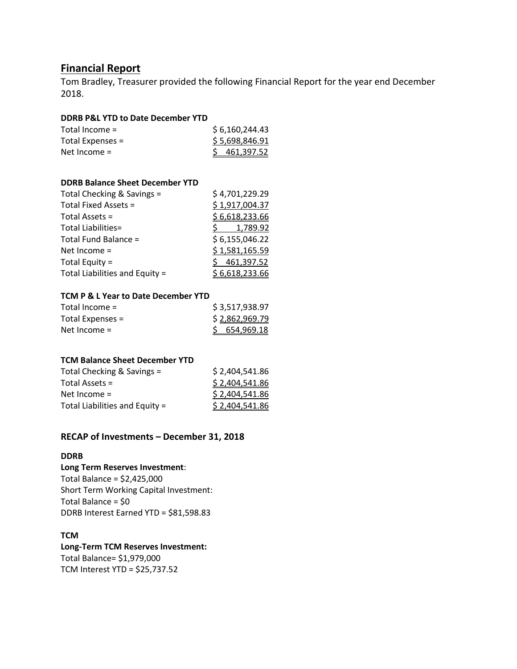# **Financial Report**

Tom Bradley, Treasurer provided the following Financial Report for the year end December 2018.

#### **DDRB P&L YTD to Date December YTD**

| Total Income $=$ | \$6,160,244.43           |
|------------------|--------------------------|
| Total Expenses = | \$5,698,846.91           |
| Net Income $=$   | $\frac{5}{9}$ 461,397.52 |

#### **DDRB Balance Sheet December YTD**

| Total Checking & Savings =     | \$4,701,229.29 |
|--------------------------------|----------------|
| Total Fixed Assets =           | \$1,917,004.37 |
| Total Assets =                 | \$6,618,233.66 |
| Total Liabilities=             | 1,789.92       |
| Total Fund Balance =           | \$6,155,046.22 |
| Net Income $=$                 | \$1,581,165.59 |
| Total Equity =                 | 461,397.52     |
| Total Liabilities and Equity = | \$6,618,233.66 |

#### **TCM P & L Year to Date December YTD**

| Total Income $=$ | \$3,517,938.97 |
|------------------|----------------|
| Total Expenses = | \$2,862,969.79 |
| Net Income $=$   | \$654,969.18   |

#### **TCM Balance Sheet December YTD**

| \$2,404,541.86 |
|----------------|
| \$2,404,541.86 |
| \$2,404,541.86 |
| \$2,404,541.86 |
|                |

### **RECAP of Investments – December 31, 2018**

#### **DDRB**

#### **Long Term Reserves Investment**:

Total Balance = \$2,425,000 Short Term Working Capital Investment: Total Balance = \$0 DDRB Interest Earned YTD = \$81,598.83

### **TCM**

#### **Long-Term TCM Reserves Investment:**

Total Balance= \$1,979,000 TCM Interest YTD = \$25,737.52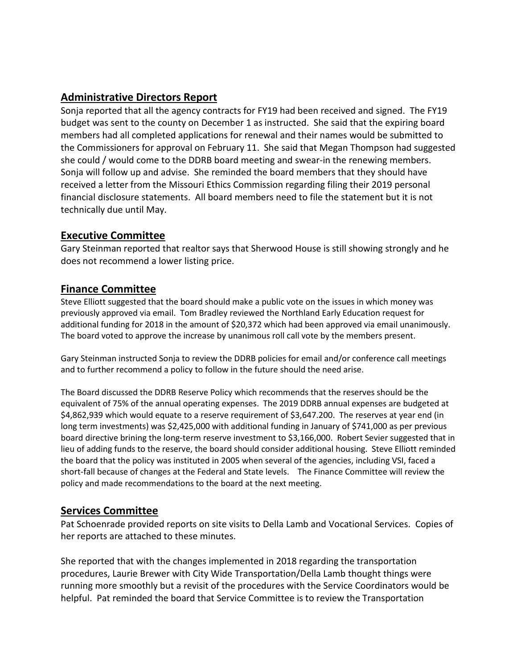# **Administrative Directors Report**

Sonja reported that all the agency contracts for FY19 had been received and signed. The FY19 budget was sent to the county on December 1 as instructed. She said that the expiring board members had all completed applications for renewal and their names would be submitted to the Commissioners for approval on February 11. She said that Megan Thompson had suggested she could / would come to the DDRB board meeting and swear-in the renewing members. Sonja will follow up and advise. She reminded the board members that they should have received a letter from the Missouri Ethics Commission regarding filing their 2019 personal financial disclosure statements. All board members need to file the statement but it is not technically due until May.

## **Executive Committee**

Gary Steinman reported that realtor says that Sherwood House is still showing strongly and he does not recommend a lower listing price.

## **Finance Committee**

Steve Elliott suggested that the board should make a public vote on the issues in which money was previously approved via email. Tom Bradley reviewed the Northland Early Education request for additional funding for 2018 in the amount of \$20,372 which had been approved via email unanimously. The board voted to approve the increase by unanimous roll call vote by the members present.

Gary Steinman instructed Sonja to review the DDRB policies for email and/or conference call meetings and to further recommend a policy to follow in the future should the need arise.

The Board discussed the DDRB Reserve Policy which recommends that the reserves should be the equivalent of 75% of the annual operating expenses. The 2019 DDRB annual expenses are budgeted at \$4,862,939 which would equate to a reserve requirement of \$3,647.200. The reserves at year end (in long term investments) was \$2,425,000 with additional funding in January of \$741,000 as per previous board directive brining the long-term reserve investment to \$3,166,000. Robert Sevier suggested that in lieu of adding funds to the reserve, the board should consider additional housing. Steve Elliott reminded the board that the policy was instituted in 2005 when several of the agencies, including VSI, faced a short-fall because of changes at the Federal and State levels. The Finance Committee will review the policy and made recommendations to the board at the next meeting.

## **Services Committee**

Pat Schoenrade provided reports on site visits to Della Lamb and Vocational Services. Copies of her reports are attached to these minutes.

She reported that with the changes implemented in 2018 regarding the transportation procedures, Laurie Brewer with City Wide Transportation/Della Lamb thought things were running more smoothly but a revisit of the procedures with the Service Coordinators would be helpful. Pat reminded the board that Service Committee is to review the Transportation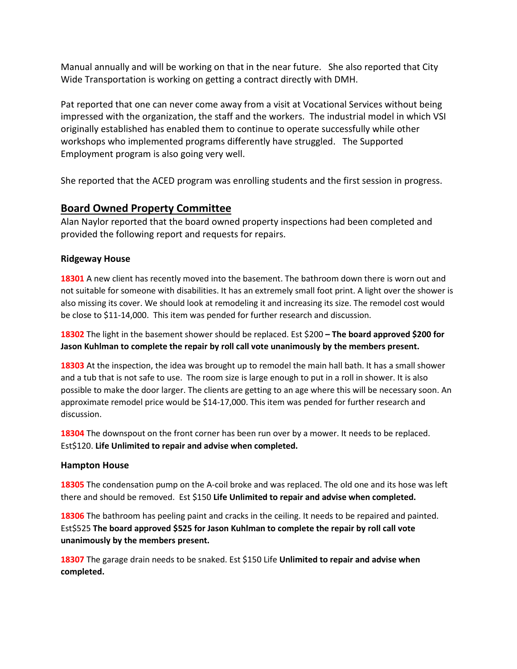Manual annually and will be working on that in the near future. She also reported that City Wide Transportation is working on getting a contract directly with DMH.

Pat reported that one can never come away from a visit at Vocational Services without being impressed with the organization, the staff and the workers. The industrial model in which VSI originally established has enabled them to continue to operate successfully while other workshops who implemented programs differently have struggled. The Supported Employment program is also going very well.

She reported that the ACED program was enrolling students and the first session in progress.

## **Board Owned Property Committee**

Alan Naylor reported that the board owned property inspections had been completed and provided the following report and requests for repairs.

### **Ridgeway House**

**18301** A new client has recently moved into the basement. The bathroom down there is worn out and not suitable for someone with disabilities. It has an extremely small foot print. A light over the shower is also missing its cover. We should look at remodeling it and increasing its size. The remodel cost would be close to \$11-14,000. This item was pended for further research and discussion.

**18302** The light in the basement shower should be replaced. Est \$200 **– The board approved \$200 for Jason Kuhlman to complete the repair by roll call vote unanimously by the members present.**

**18303** At the inspection, the idea was brought up to remodel the main hall bath. It has a small shower and a tub that is not safe to use. The room size is large enough to put in a roll in shower. It is also possible to make the door larger. The clients are getting to an age where this will be necessary soon. An approximate remodel price would be \$14-17,000. This item was pended for further research and discussion.

**18304** The downspout on the front corner has been run over by a mower. It needs to be replaced. Est\$120. **Life Unlimited to repair and advise when completed.**

### **Hampton House**

**18305** The condensation pump on the A-coil broke and was replaced. The old one and its hose was left there and should be removed. Est \$150 **Life Unlimited to repair and advise when completed.**

**18306** The bathroom has peeling paint and cracks in the ceiling. It needs to be repaired and painted. Est\$525 **The board approved \$525 for Jason Kuhlman to complete the repair by roll call vote unanimously by the members present.**

**18307** The garage drain needs to be snaked. Est \$150 Life **Unlimited to repair and advise when completed.**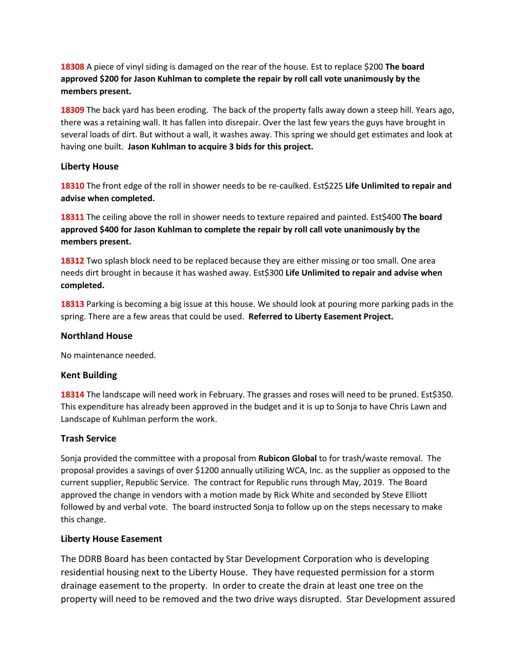**18308** A piece of vinyl siding is damaged on the rear of the house. Est to replace \$200 **The board approved \$200 for Jason Kuhlman to complete the repair by roll call vote unanimously by the members present.**

**18309** The back yard has been eroding. The back of the property falls away down a steep hill. Years ago, there was a retaining wall. It has fallen into disrepair. Over the last few years the guys have brought in several loads of dirt. But without a wall, it washes away. This spring we should get estimates and look at having one built. **Jason Kuhlman to acquire 3 bids for this project.**

#### **Liberty House**

**18310** The front edge of the roll in shower needs to be re-caulked. Est\$225 **Life Unlimited to repair and advise when completed.**

**18311** The ceiling above the roll in shower needs to texture repaired and painted. Est\$400 **The board approved \$400 for Jason Kuhlman to complete the repair by roll call vote unanimously by the members present.**

**18312** Two splash block need to be replaced because they are either missing or too small. One area needs dirt brought in because it has washed away. Est\$300 **Life Unlimited to repair and advise when completed.**

**18313** Parking is becoming a big issue at this house. We should look at pouring more parking pads in the spring. There are a few areas that could be used. **Referred to Liberty Easement Project.**

#### **Northland House**

No maintenance needed.

### **Kent Building**

**18314** The landscape will need work in February. The grasses and roses will need to be pruned. Est\$350. This expenditure has already been approved in the budget and it is up to Sonja to have Chris Lawn and Landscape of Kuhlman perform the work.

### **Trash Service**

Sonja provided the committee with a proposal from **Rubicon Global** to for trash/waste removal. The proposal provides a savings of over \$1200 annually utilizing WCA, Inc. as the supplier as opposed to the current supplier, Republic Service. The contract for Republic runs through May, 2019. The Board approved the change in vendors with a motion made by Rick White and seconded by Steve Elliott followed by and verbal vote. The board instructed Sonja to follow up on the steps necessary to make this change.

### **Liberty House Easement**

The DDRB Board has been contacted by Star Development Corporation who is developing residential housing next to the Liberty House. They have requested permission for a storm drainage easement to the property. In order to create the drain at least one tree on the property will need to be removed and the two drive ways disrupted. Star Development assured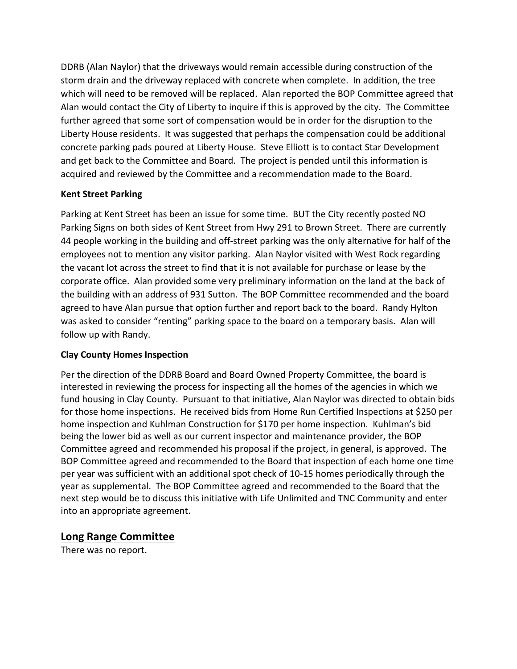DDRB (Alan Naylor) that the driveways would remain accessible during construction of the storm drain and the driveway replaced with concrete when complete. In addition, the tree which will need to be removed will be replaced. Alan reported the BOP Committee agreed that Alan would contact the City of Liberty to inquire if this is approved by the city. The Committee further agreed that some sort of compensation would be in order for the disruption to the Liberty House residents. It was suggested that perhaps the compensation could be additional concrete parking pads poured at Liberty House. Steve Elliott is to contact Star Development and get back to the Committee and Board. The project is pended until this information is acquired and reviewed by the Committee and a recommendation made to the Board.

## **Kent Street Parking**

Parking at Kent Street has been an issue for some time. BUT the City recently posted NO Parking Signs on both sides of Kent Street from Hwy 291 to Brown Street. There are currently 44 people working in the building and off-street parking was the only alternative for half of the employees not to mention any visitor parking. Alan Naylor visited with West Rock regarding the vacant lot across the street to find that it is not available for purchase or lease by the corporate office. Alan provided some very preliminary information on the land at the back of the building with an address of 931 Sutton. The BOP Committee recommended and the board agreed to have Alan pursue that option further and report back to the board. Randy Hylton was asked to consider "renting" parking space to the board on a temporary basis. Alan will follow up with Randy.

### **Clay County Homes Inspection**

Per the direction of the DDRB Board and Board Owned Property Committee, the board is interested in reviewing the process for inspecting all the homes of the agencies in which we fund housing in Clay County. Pursuant to that initiative, Alan Naylor was directed to obtain bids for those home inspections. He received bids from Home Run Certified Inspections at \$250 per home inspection and Kuhlman Construction for \$170 per home inspection. Kuhlman's bid being the lower bid as well as our current inspector and maintenance provider, the BOP Committee agreed and recommended his proposal if the project, in general, is approved. The BOP Committee agreed and recommended to the Board that inspection of each home one time per year was sufficient with an additional spot check of 10-15 homes periodically through the year as supplemental. The BOP Committee agreed and recommended to the Board that the next step would be to discuss this initiative with Life Unlimited and TNC Community and enter into an appropriate agreement.

## **Long Range Committee**

There was no report.